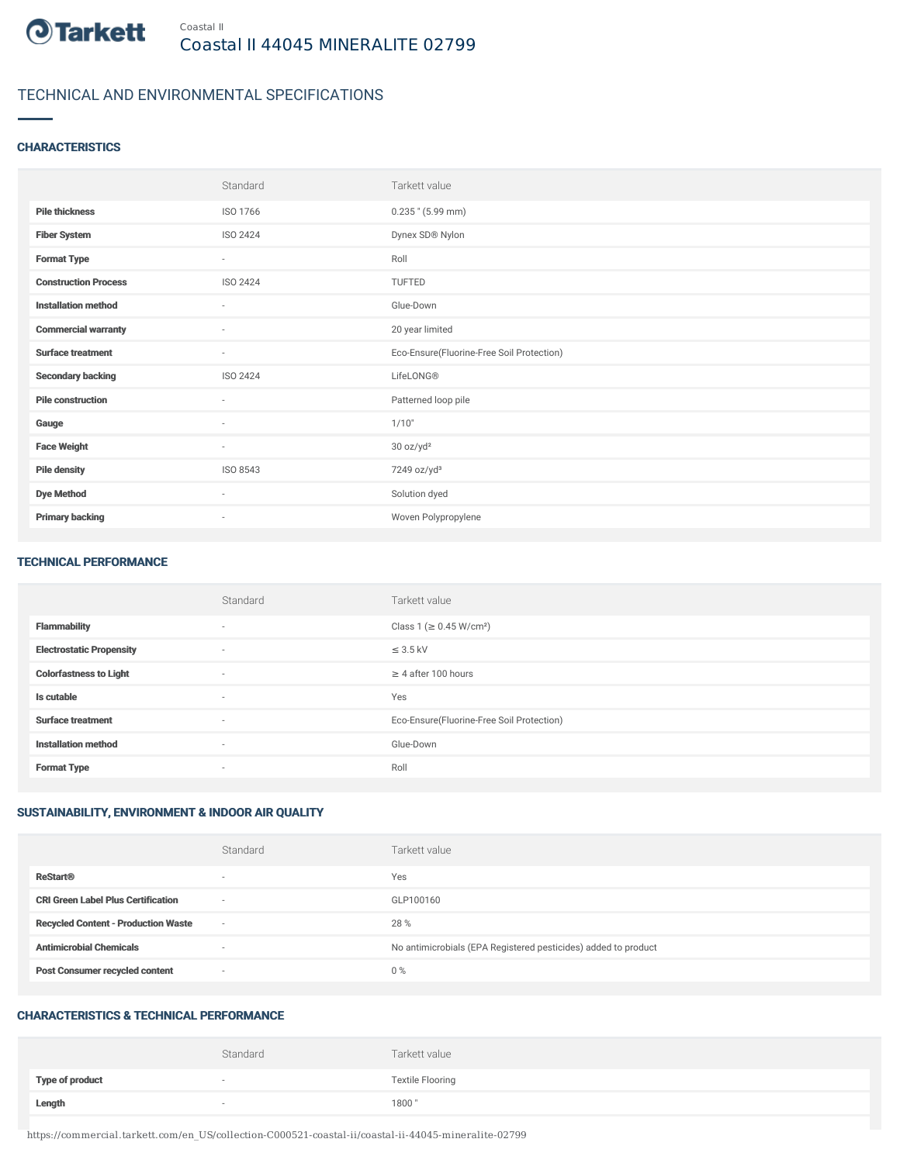

## TECHNICAL AND ENVIRONMENTAL SPECIFICATIONS

### **CHARACTERISTICS**

|                             | Standard                 | Tarkett value                             |
|-----------------------------|--------------------------|-------------------------------------------|
| <b>Pile thickness</b>       | ISO 1766                 | $0.235$ " (5.99 mm)                       |
| <b>Fiber System</b>         | ISO 2424                 | Dynex SD® Nylon                           |
| <b>Format Type</b>          | $\sim$                   | Roll                                      |
| <b>Construction Process</b> | ISO 2424                 | <b>TUFTED</b>                             |
| <b>Installation method</b>  | $\sim$                   | Glue-Down                                 |
| <b>Commercial warranty</b>  | $\sim$                   | 20 year limited                           |
| <b>Surface treatment</b>    | $\sim$                   | Eco-Ensure(Fluorine-Free Soil Protection) |
| <b>Secondary backing</b>    | ISO 2424                 | LifeLONG®                                 |
| <b>Pile construction</b>    | ٠                        | Patterned loop pile                       |
| Gauge                       | $\sim$                   | 1/10"                                     |
| <b>Face Weight</b>          | $\sim$                   | 30 oz/yd <sup>2</sup>                     |
| <b>Pile density</b>         | ISO 8543                 | 7249 oz/yd <sup>3</sup>                   |
| <b>Dye Method</b>           | $\sim$                   | Solution dyed                             |
| <b>Primary backing</b>      | $\overline{\phantom{a}}$ | Woven Polypropylene                       |

#### TECHNICAL PERFORMANCE

|                                 | Standard                 | Tarkett value                             |
|---------------------------------|--------------------------|-------------------------------------------|
| <b>Flammability</b>             | $\sim$                   | Class 1 (≥ 0.45 W/cm <sup>2</sup> )       |
| <b>Electrostatic Propensity</b> | $\sim$                   | $\leq$ 3.5 kV                             |
| <b>Colorfastness to Light</b>   | $\sim$                   | $\geq$ 4 after 100 hours                  |
| Is cutable                      | $\sim$                   | Yes                                       |
| <b>Surface treatment</b>        | $\overline{\phantom{a}}$ | Eco-Ensure(Fluorine-Free Soil Protection) |
| <b>Installation method</b>      | $\sim$                   | Glue-Down                                 |
| <b>Format Type</b>              | $\overline{\phantom{a}}$ | Roll                                      |

### SUSTAINABILITY, ENVIRONMENT & INDOOR AIR QUALITY

|                                            | Standard                 | Tarkett value                                                  |
|--------------------------------------------|--------------------------|----------------------------------------------------------------|
| <b>ReStart®</b>                            | $\overline{\phantom{a}}$ | Yes                                                            |
| <b>CRI Green Label Plus Certification</b>  | $\overline{\phantom{a}}$ | GLP100160                                                      |
| <b>Recycled Content - Production Waste</b> | $\overline{\phantom{a}}$ | 28 %                                                           |
| <b>Antimicrobial Chemicals</b>             | <b>1999</b>              | No antimicrobials (EPA Registered pesticides) added to product |
| <b>Post Consumer recycled content</b>      | $\overline{\phantom{a}}$ | $0\%$                                                          |

#### CHARACTERISTICS & TECHNICAL PERFORMANCE

|                        | Standard                 | Tarkett value           |
|------------------------|--------------------------|-------------------------|
| <b>Type of product</b> | $\overline{\phantom{a}}$ | <b>Textile Flooring</b> |
| Length                 |                          | 1800"                   |

https://commercial.tarkett.com/en\_US/collection-C000521-coastal-ii/coastal-ii-44045-mineralite-02799